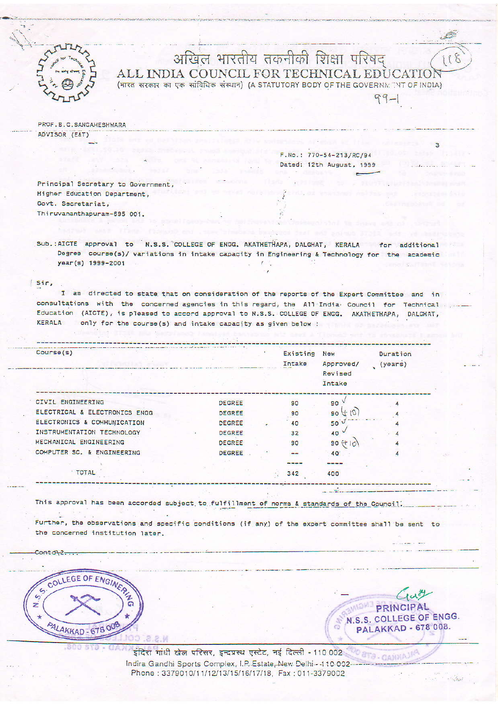

## अखिल भारतीय तकनीकी शिक्षा परिषद ALL INDIA COUNCIL FOR TECHNICAL EDUCATIO (भारत सरकार का एक सांविधिक संस्थान) (A STATUTORY BODY OF THE GOVERNMENT OF INDIA)

PROF.B.G.SANGAHESHWARA ADVISOR (EAT)

> F.No.: 770-54-213/RC/94 Dated: 12th August, 1999

 $9 - 1$ 

Principal Secretary to Government. Higher Education Department, Govt. Secretariat, Thiruvananthapuram-695 001.

Sub.: AICTE approval to N.S.S. COLLEGE OF ENGG. AKATHETHAPA, DALGHAT, KERALA for additional Degree course(s)/ variations in intake capacity in Engineering & Technology for the academic year(s) 1999-2001

 $f$  Sir.

I am directed to state that on consideration of the reports of the Expert Committee and in consultations with the concerned agencies in this regard, the All India Council for Technical Education (AICTE), is pleased to accord approval to N.S.S. COLLEGE OF ENGG. AKATHETHAPA, DALGHAT, KERALA only for the course(s) and intake capacity as given below :

| Course(s)                     |               |    | Existing<br>Intake | New<br>Approved/<br>Revised<br>Intake | Duration<br>(y <sub>ears</sub> ) |  |
|-------------------------------|---------------|----|--------------------|---------------------------------------|----------------------------------|--|
|                               |               |    |                    |                                       |                                  |  |
| CIVIL ENGINEERING             | <b>DEGREE</b> |    | 90                 | 90                                    |                                  |  |
| ELECTRICAL & ELECTRONICS ENGG | DEGREE        |    | 90                 | 90                                    |                                  |  |
| ELECTRONICS & COMMUNICATION   | <b>DEGREE</b> | ÷. | 40                 | 50 <sup>2</sup>                       |                                  |  |
| INSTRUMENTATION TECHNOLOGY    | <b>DEGREE</b> |    | 32                 | 40                                    |                                  |  |
| MECHANICAL ENGINEERING        | <b>DEGREE</b> |    | 90                 | $90 (+ 10)$                           |                                  |  |
| COMPUTER SC. & ENGINEERING    | <b>DEGREE</b> |    | $-1$               | 40                                    |                                  |  |
|                               |               |    | ----               |                                       |                                  |  |
| <b>TOTAL</b>                  |               |    | 342                | 400                                   |                                  |  |

This approval has been accorded subject to fulfillment of norms & standards of the Council.

Further, the observations and specific conditions (if any) of the expert committee shall be sent to the concerned institution later.

Contd<sub>12</sub>...



Guy PRINCIPAL N.S.S. COLLEGE OF ENGG. PALAKKAD - 678 008.

 $o_{B}$  ,  $q_A$  with

इंदिरा गांधी खेल परिसर, इन्द्रप्रस्थ एस्टेट, नई दिल्ली - 110 002 Indira Gandhi Sports Complex, I.P. Estate, New Delhi - 410 002 --Phone: 3379010/11/12/13/15/16/17/18, Fax: 011-3379002

18